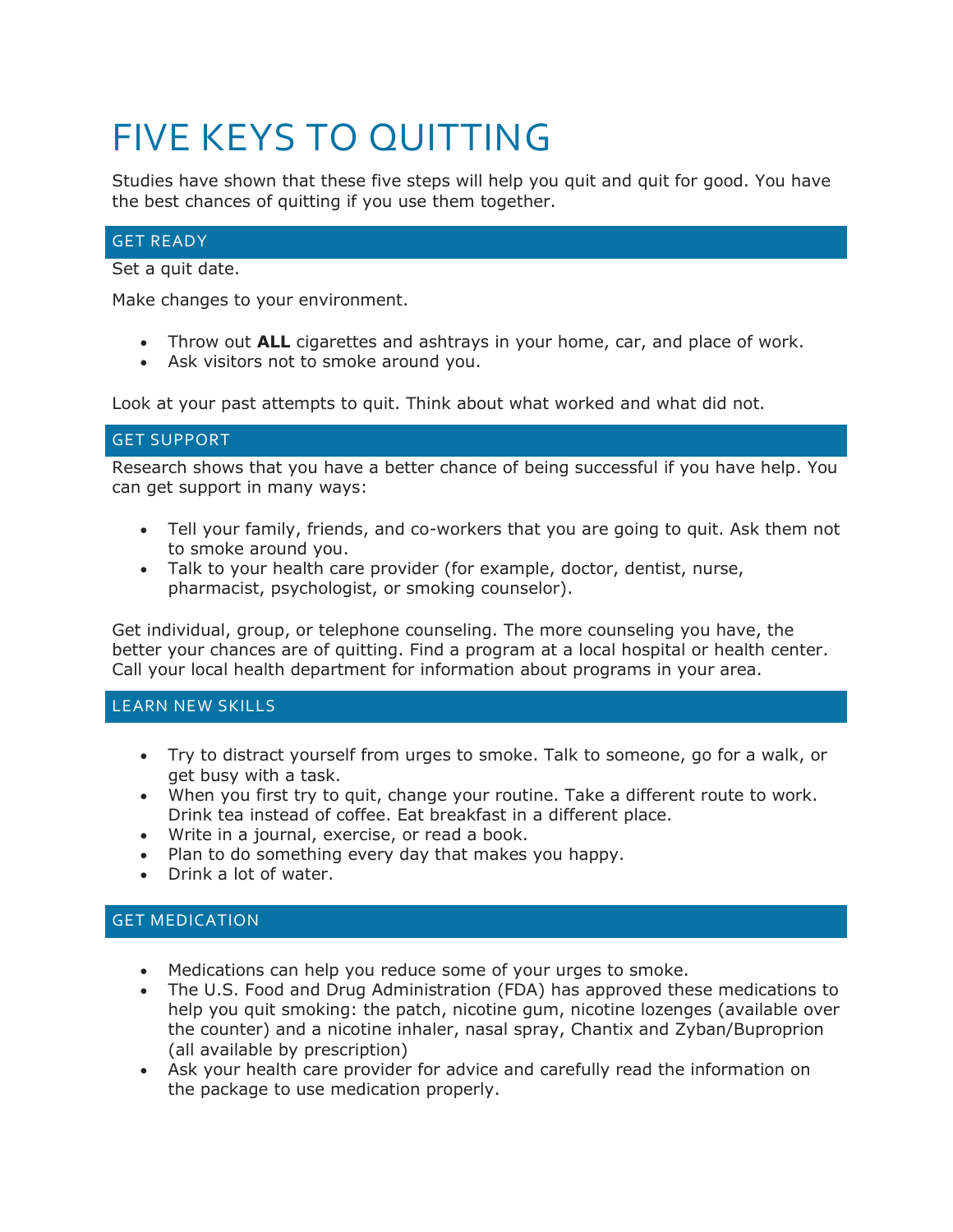# FIVE KEYS TO QUITTING

Studies have shown that these five steps will help you quit and quit for good. You have the best chances of quitting if you use them together.

## GET READY

Set a quit date.

Make changes to your environment.

- Throw out **ALL** cigarettes and ashtrays in your home, car, and place of work.
- Ask visitors not to smoke around you.

Look at your past attempts to quit. Think about what worked and what did not.

#### GET SUPPORT

Research shows that you have a better chance of being successful if you have help. You can get support in many ways:

- Tell your family, friends, and co-workers that you are going to quit. Ask them not to smoke around you.
- Talk to your health care provider (for example, doctor, dentist, nurse, pharmacist, psychologist, or smoking counselor).

Get individual, group, or telephone counseling. The more counseling you have, the better your chances are of quitting. Find a program at a local hospital or health center. Call your local health department for information about programs in your area.

#### LEARN NEW SKILLS

- Try to distract yourself from urges to smoke. Talk to someone, go for a walk, or get busy with a task.
- When you first try to quit, change your routine. Take a different route to work. Drink tea instead of coffee. Eat breakfast in a different place.
- Write in a journal, exercise, or read a book.
- Plan to do something every day that makes you happy.
- Drink a lot of water.

## GET MEDICATION

- Medications can help you reduce some of your urges to smoke.
- The U.S. Food and Drug Administration (FDA) has approved these medications to help you quit smoking: the patch, nicotine gum, nicotine lozenges (available over the counter) and a nicotine inhaler, nasal spray, Chantix and Zyban/Buproprion (all available by prescription)
- Ask your health care provider for advice and carefully read the information on the package to use medication properly.